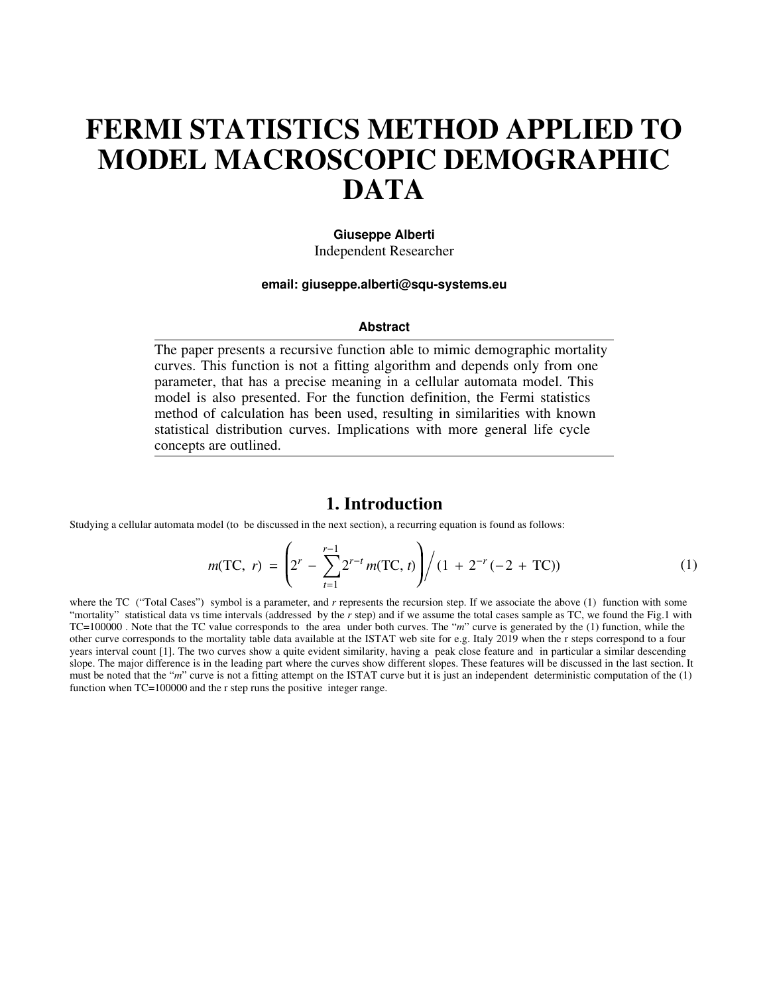# **FERMI STATISTICS METHOD APPLIED TO MODEL MACROSCOPIC DEMOGRAPHIC DATA**

#### **Giuseppe Alberti** Independent Researcher

**email: giuseppe.alberti@squ-systems.eu**

#### **Abstract**

The paper presents a recursive function able to mimic demographic mortality curves. This function is not a fitting algorithm and depends only from one parameter, that has a precise meaning in a cellular automata model. This model is also presented. For the function definition, the Fermi statistics method of calculation has been used, resulting in similarities with known statistical distribution curves. Implications with more general life cycle concepts are outlined.

#### **1. Introduction**

Studying a cellular automata model (to be discussed in the next section), a recurring equation is found as follows:

$$
m(\text{TC}, \ r) = \left(2^r - \sum_{t=1}^{r-1} 2^{r-t} m(\text{TC}, t)\right) / (1 + 2^{-r} (-2 + \text{TC})) \tag{1}
$$

where the TC ("Total Cases") symbol is a parameter, and *r* represents the recursion step. If we associate the above (1) function with some "mortality" statistical data vs time intervals (addressed by the r step) and if we assume the total cases sample as TC, we found the Fig.1 with TC=100000 . Note that the TC value corresponds to the area under both curves. The "*m*" curve is generated by the (1) function, while the other curve corresponds to the mortality table data available at the ISTAT web site for e.g. Italy 2019 when the r steps correspond to a four years interval count [1]. The two curves show a quite evident similarity, having a peak close feature and in particular a similar descending slope. The major difference is in the leading part where the curves show different slopes. These features will be discussed in the last section. It must be noted that the "*m*" curve is not a fitting attempt on the ISTAT curve but it is just an independent deterministic computation of the (1) function when TC=100000 and the r step runs the positive integer range.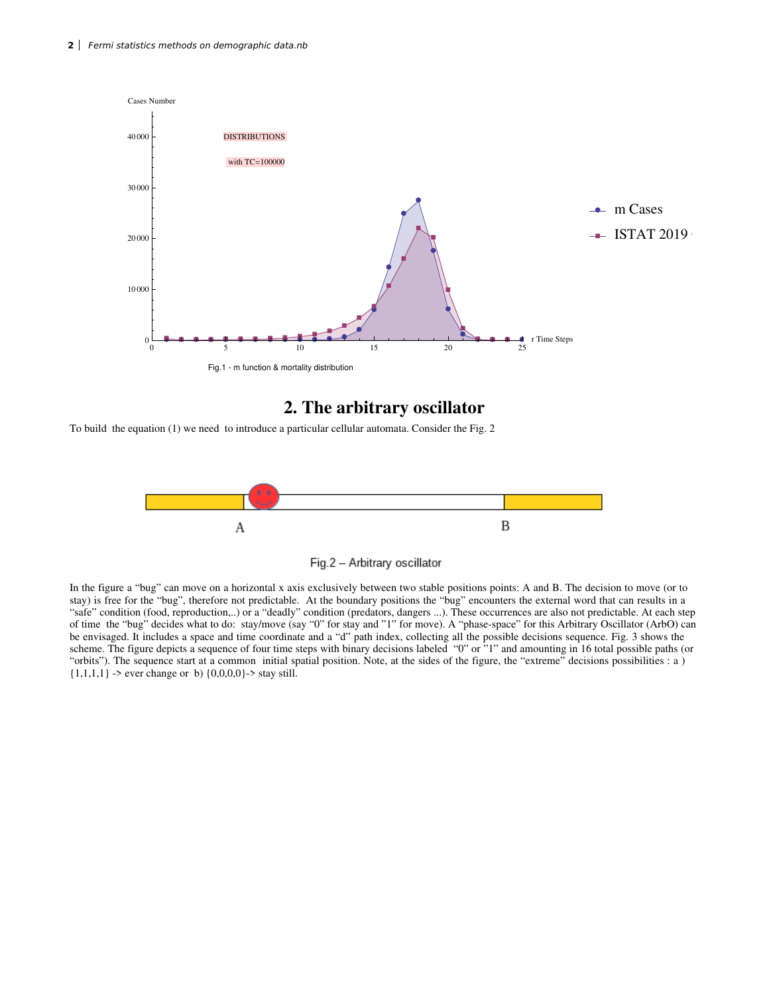

## **2. The arbitrary oscillator**

To build the equation (1) we need to introduce a particular cellular automata. Consider the Fig. 2





In the figure a "bug" can move on a horizontal x axis exclusively between two stable positions points: A and B. The decision to move (or to stay) is free for the "bug", therefore not predictable. At the boundary positions the "bug" encounters the external word that can results in a "safe" condition (food, reproduction,..) or a "deadly" condition (predators, dangers ...). These occurrences are also not predictable. At each step of time the "bug" decides what to do: stay/move (say "0" for stay and "1" for move). A "phase-space" for this Arbitrary Oscillator (ArbO) can be envisaged. It includes a space and time coordinate and a "d" path index, collecting all the possible decisions sequence. Fig. 3 shows the scheme. The figure depicts a sequence of four time steps with binary decisions labeled "0" or "1" and amounting in 16 total possible paths (or " orbits"). The sequence start at a common initial spatial position. Note, at the sides of the figure, the "extreme" decisions possibilities : a )  ${1,1,1,1} >$  ever change or b)  ${0,0,0,0} >$  stay still.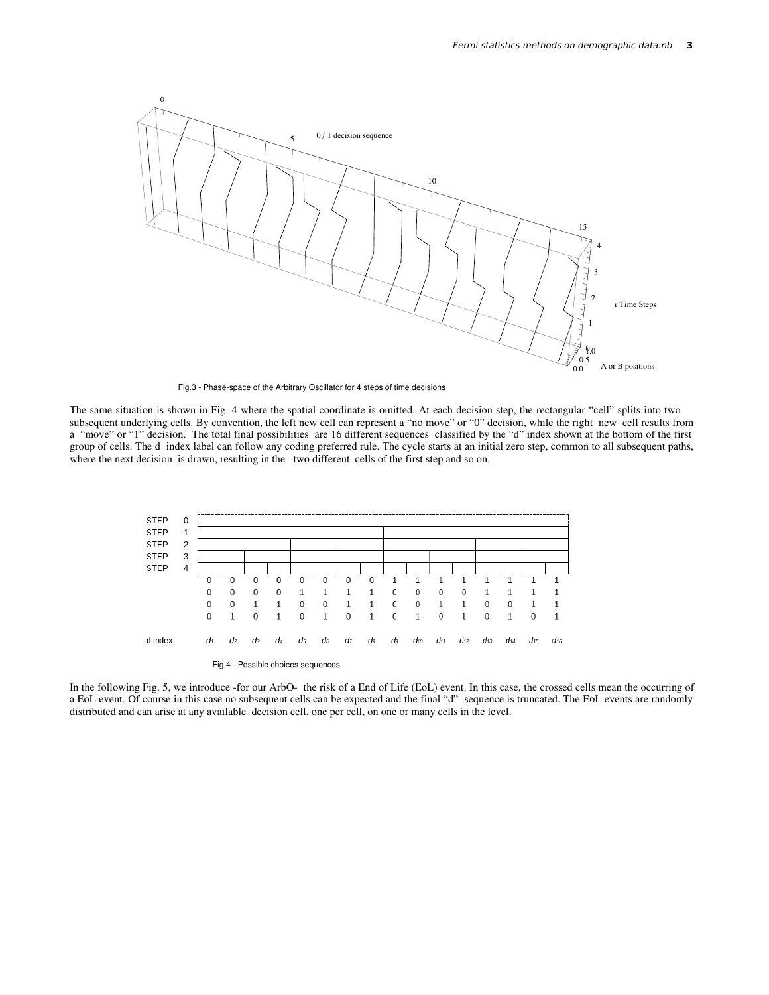

Fig.3 - Phase-space of the Arbitrary Oscillator for 4 steps of time decisions

The same situation is shown in Fig. 4 where the spatial coordinate is omitted. At each decision step, the rectangular "cell" splits into two subsequent underlying cells. By convention, the left new cell can represent a "no move" or "0" decision, while the right new cell results from a "move" or "1" decision. The total final possibilities are 16 different sequences classified by the "d" index shown at the bottom of the first group of cells. The d index label can follow any coding preferred rule. The cycle starts at an initial zero step, common to all subsequent paths, where the next decision is drawn, resulting in the two different cells of the first step and so on.



In the following Fig. 5, we introduce -for our ArbO- the risk of a End of Life (EoL) event. In this case, the crossed cells mean the occurring of a EoL event. Of course in this case no subsequent cells can be expected and the final "d" sequence is truncated. The EoL events are randomly distributed and can arise at any available decision cell, one per cell, on one or many cells in the level.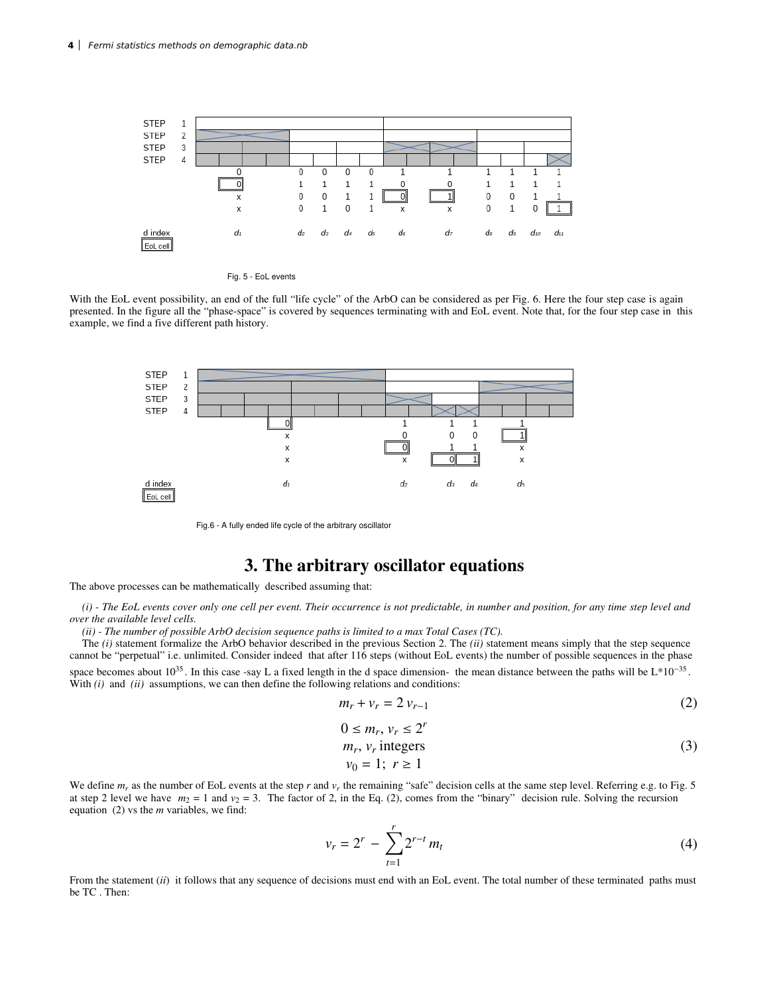



With the EoL event possibility, an end of the full "life cycle" of the ArbO can be considered as per Fig. 6. Here the four step case is again presented. In the figure all the "phase-space" is covered by sequences terminating with and EoL event. Note that, for the four step case in this example, we find a five different path history.



Fig.6 - A fully ended life cycle of the arbitrary oscillator

## **3. The arbitrary oscillator equations**

The above processes can be mathematically described assuming that:

*(i) - The EoL events cover only one cell per event. Their occurrence is not predictable, in number and position, for any time step level and over the available level cells.*

*(ii) - The number of possible ArbO decision sequence paths is limited to a max Total Cases (TC).*

The *(i)* statement formalize the ArbO behavior described in the previous Section 2. The *(ii)* statement means simply that the step sequence cannot be "perpetual" i.e. unlimited. Consider indeed that after 116 steps (without EoL events) the number of possible sequences in the phase space becomes about  $10^{35}$ . In this case -say L a fixed length in the d space dimension- the mean distance between the paths will be  $L*10^{-35}$ . With *(i)* and *(ii)* assumptions, we can then define the following relations and conditions:

$$
m_r + v_r = 2v_{r-1} \tag{2}
$$

$$
0 \leq m_r, v_r \leq 2^r
$$

$$
m_r, v_r \text{ integers} \tag{3}
$$

$$
v_0-1, l \geq 1
$$

We define  $m_r$  as the number of EoL events at the step  $r$  and  $v_r$  the remaining "safe" decision cells at the same step level. Referring e.g. to Fig. 5 at step 2 level we have  $m_2 = 1$  and  $v_2 = 3$ . The factor of 2, in the Eq. (2), comes from the "binary" decision rule. Solving the recursion equation (2) vs the *m* variables, we find:

$$
v_r = 2^r - \sum_{t=1}^r 2^{r-t} m_t
$$
 (4)

From the statement *(ii)* it follows that any sequence of decisions must end with an EoL event. The total number of these terminated paths must be TC . Then: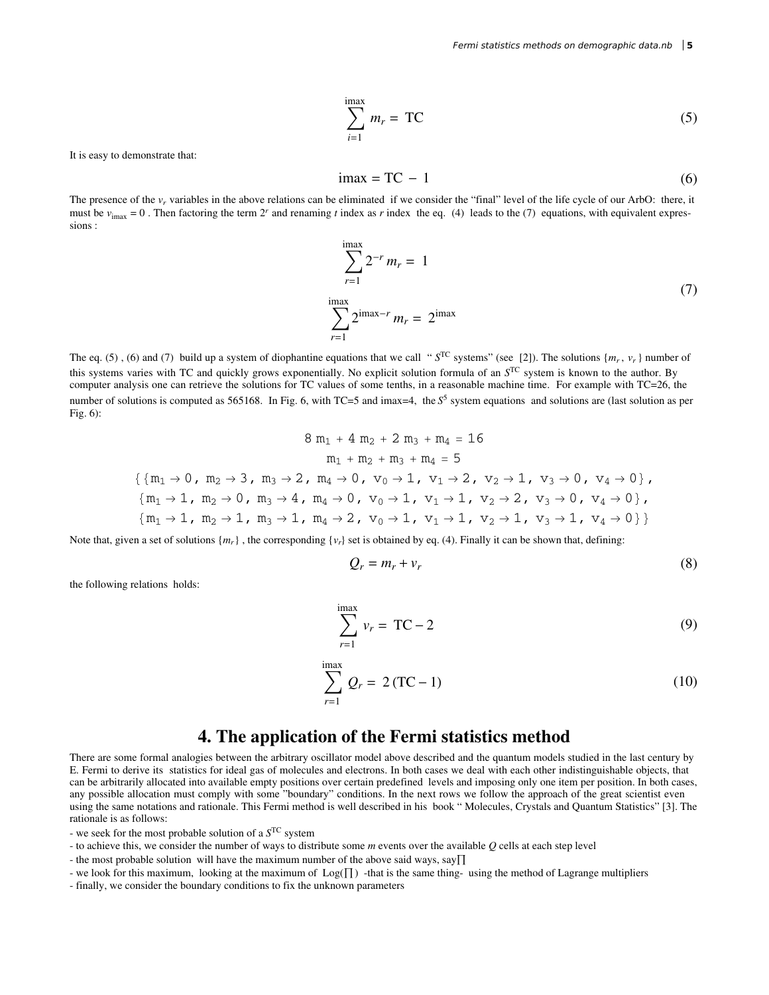$$
\sum_{i=1}^{\text{imax}} m_r = \text{TC} \tag{5}
$$

It is easy to demonstrate that:

$$
i\max = TC - 1\tag{6}
$$

The presence of the  $v_r$  variables in the above relations can be eliminated if we consider the "final" level of the life cycle of our ArbO: there, it must be  $v_{\text{imax}} = 0$ . Then factoring the term  $2^r$  and renaming *t* index as *r* index the eq. (4) leads to the (7) equations, with equivalent expressions :

$$
\sum_{r=1}^{\max} 2^{-r} m_r = 1
$$
  

$$
\sum_{r=1}^{\max} 2^{\max-r} m_r = 2^{\max}
$$
 (7)

The eq. (5), (6) and (7) build up a system of diophantine equations that we call " $S^{TC}$  systems" (see [2]). The solutions  $\{m_r, v_r\}$  number of this systems varies with TC and quickly grows exponentially. No explicit solution formula of an  $S<sup>TC</sup>$  system is known to the author. By computer analysis one can retrieve the solutions for TC values of some tenths, in a reasonable machine time. For example with TC=26, the number of solutions is computed as 565168. In Fig. 6, with TC=5 and imax=4, the *S*<sup>5</sup> system equations and solutions are (last solution as per Fig. 6):

$$
8\ m_1 + 4\ m_2 + 2\ m_3 + m_4 = 16
$$
  
\n
$$
m_1 + m_2 + m_3 + m_4 = 5
$$
  
\n
$$
\{m_1 \rightarrow 0, m_2 \rightarrow 3, m_3 \rightarrow 2, m_4 \rightarrow 0, v_0 \rightarrow 1, v_1 \rightarrow 2, v_2 \rightarrow 1, v_3 \rightarrow 0, v_4 \rightarrow 0\},\
$$
  
\n
$$
\{m_1 \rightarrow 1, m_2 \rightarrow 0, m_3 \rightarrow 4, m_4 \rightarrow 0, v_0 \rightarrow 1, v_1 \rightarrow 1, v_2 \rightarrow 2, v_3 \rightarrow 0, v_4 \rightarrow 0\},\
$$
  
\n
$$
\{m_1 \rightarrow 1, m_2 \rightarrow 1, m_3 \rightarrow 1, m_4 \rightarrow 2, v_0 \rightarrow 1, v_1 \rightarrow 1, v_2 \rightarrow 1, v_3 \rightarrow 1, v_4 \rightarrow 0\}\}
$$

Note that, given a set of solutions  $\{m_r\}$ , the corresponding  $\{v_r\}$  set is obtained by eq. (4). Finally it can be shown that, defining:

$$
Q_r = m_r + v_r \tag{8}
$$

the following relations holds:

$$
\sum_{r=1}^{\text{inax}} v_r = \text{TC} - 2 \tag{9}
$$

$$
\sum_{r=1}^{\max} Q_r = 2 (TC - 1)
$$
 (10)

#### **4. The application of the Fermi statistics method**

There are some formal analogies between the arbitrary oscillator model above described and the quantum models studied in the last century by E. Fermi to derive its statistics for ideal gas of molecules and electrons. In both cases we deal with each other indistinguishable objects, that can be arbitrarily allocated into available empty positions over certain predefined levels and imposing only one item per position. In both cases, any possible allocation must comply with some " boundary" conditions. In the next rows we follow the approach of the great scientist even using the same notations and rationale. This Fermi method is well described in his book " Molecules, Crystals and Quantum Statistics" [3]. The rationale is as follows:

- we seek for the most probable solution of a *S* TC system

- to achieve this, we consider the number of ways to distribute some *m* events over the available *Q* cells at each step level
- the most probable solution will have the maximum number of the above said ways, say  $\Pi$
- we look for this maximum, looking at the maximum of  $Log(\Pi)$  -that is the same thing-using the method of Lagrange multipliers
- finally, we consider the boundary conditions to fix the unknown parameters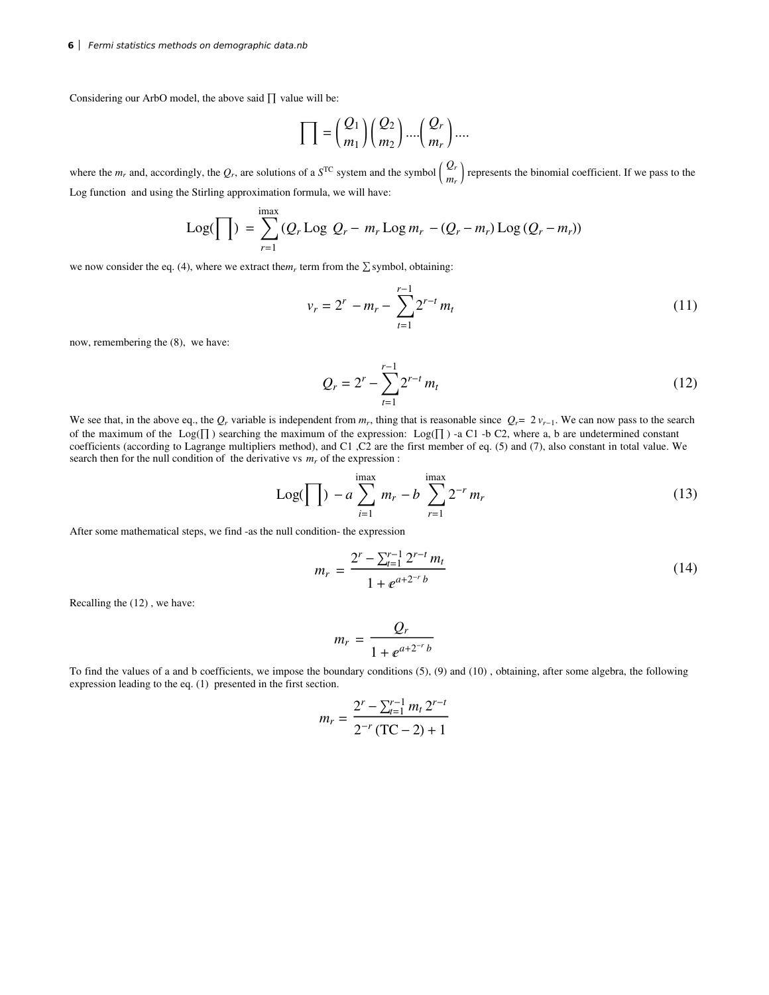Considering our ArbO model, the above said  $\prod$  value will be:

$$
\prod = \binom{Q_1}{m_1} \binom{Q_2}{m_2} \cdots \binom{Q_r}{m_r} \cdots
$$

where the  $m_r$  and, accordingly, the  $Q_r$ , are solutions of a  $S^{TC}$  system and the symbol  $\begin{pmatrix} Q_r \\ m_r \end{pmatrix}$  $\sum_{m_r}$  represents the binomial coefficient. If we pass to the Log function and using the Stirling approximation formula, we will have:

Log(
$$
\Pi
$$
) =  $\sum_{r=1}^{\text{imax}} (Q_r \text{Log } Q_r - m_r \text{Log } m_r - (Q_r - m_r) \text{Log } (Q_r - m_r))$ 

we now consider the eq. (4), where we extract the $m_r$  term from the  $\Sigma$  symbol, obtaining:

$$
v_r = 2^r - m_r - \sum_{t=1}^{r-1} 2^{r-t} m_t
$$
\n(11)

now, remembering the (8), we have:

$$
Q_r = 2^r - \sum_{t=1}^{r-1} 2^{r-t} m_t
$$
 (12)

We see that, in the above eq., the  $Q_r$  variable is independent from  $m_r$ , thing that is reasonable since  $Q_r = 2 v_{r-1}$ . We can now pass to the search of the maximum of the Log( $\Pi$ ) searching the maximum of the expression: Log( $\Pi$ ) -a C1 -b C2, where a, b are undetermined constant coefficients (according to Lagrange multipliers method), and C1 ,C2 are the first member of eq. (5) and (7), also constant in total value. We search then for the null condition of the derivative vs  $m_r$  of the expression :

Log(
$$
\prod
$$
) - a  $\sum_{i=1}^{\text{imax}} m_r - b \sum_{r=1}^{\text{imax}} 2^{-r} m_r$  (13)

After some mathematical steps, we find -as the null condition- the expression

$$
m_r = \frac{2^r - \sum_{t=1}^{r-1} 2^{r-t} m_t}{1 + e^{a + 2^{-r} b}}
$$
\n(14)

Recalling the (12) , we have:

$$
m_r = \frac{Q_r}{1 + e^{a+2^{-r}b}}
$$

To find the values of a and b coefficients, we impose the boundary conditions (5), (9) and (10) , obtaining, after some algebra, the following expression leading to the eq. (1) presented in the first section.

$$
m_r = \frac{2^r - \sum_{t=1}^{r-1} m_t 2^{r-t}}{2^{-r} (\text{TC} - 2) + 1}
$$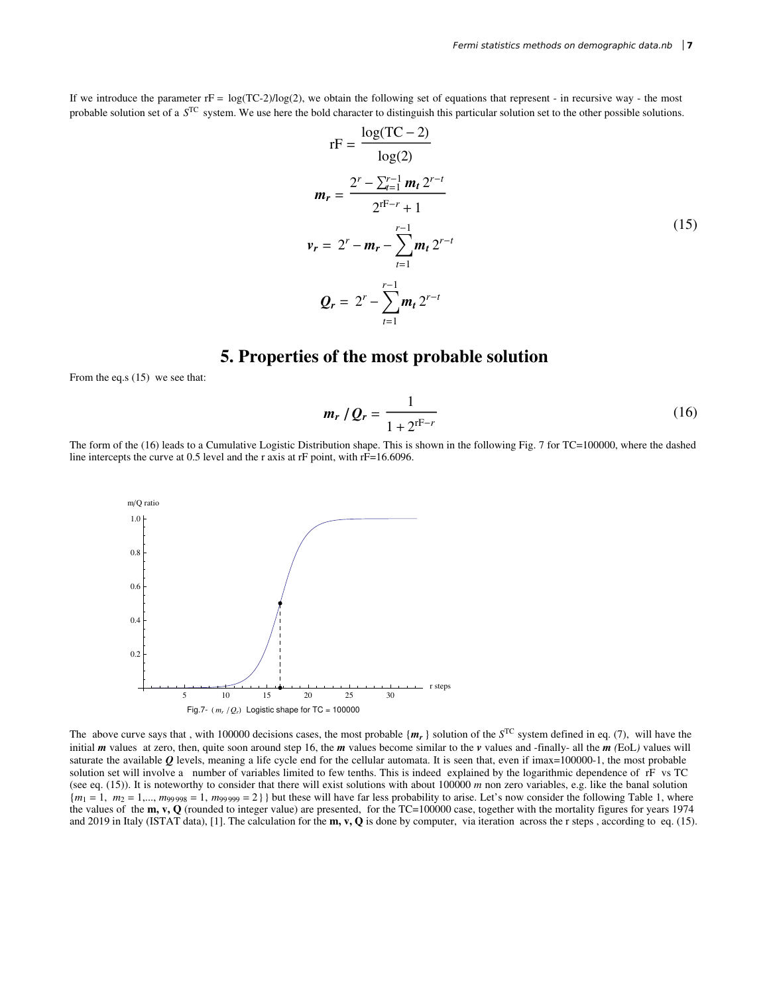If we introduce the parameter  $rF = \log(TC-2)/\log(2)$ , we obtain the following set of equations that represent - in recursive way - the most probable solution set of a  $S^{TC}$  system. We use here the bold character to distinguish this particular solution set to the other possible solutions.

$$
rF = \frac{\log(TC - 2)}{\log(2)}
$$
  
\n
$$
m_r = \frac{2^r - \sum_{t=1}^{r-1} m_t 2^{r-t}}{2^{rF-r} + 1}
$$
  
\n
$$
v_r = 2^r - m_r - \sum_{t=1}^{r-1} m_t 2^{r-t}
$$
  
\n
$$
Q_r = 2^r - \sum_{t=1}^{r-1} m_t 2^{r-t}
$$
\n(15)

## **5. Properties of the most probable solution**

From the eq.s (15) we see that:

$$
m_r / Q_r = \frac{1}{1 + 2^{rF - r}}
$$
 (16)

The form of the (16) leads to a Cumulative Logistic Distribution shape. This is shown in the following Fig. 7 for TC=100000, where the dashed line intercepts the curve at 0.5 level and the r axis at rF point, with rF=16.6096.



The above curve says that, with 100000 decisions cases, the most probable  $\{m_r\}$  solution of the  $S<sup>TC</sup>$  system defined in eq. (7), will have the initial *m* values at zero, then, quite soon around step 16, the *m* values become similar to the *v* values and -finally- all the *m (*EoL*)* values will saturate the available  $Q$  levels, meaning a life cycle end for the cellular automata. It is seen that, even if imax=100000-1, the most probable solution set will involve a number of variables limited to few tenths. This is indeed explained by the logarithmic dependence of rF vs TC (see eq. (15)). It is noteworthy to consider that there will exist solutions with about 100000 *m* non zero variables, e.g. like the banal solution  ${m_1 = 1, m_2 = 1,..., m_{99998} = 1, m_{99999} = 2}$  but these will have far less probability to arise. Let's now consider the following Table 1, where the values of the **m, v, Q** (rounded to integer value) are presented, for the TC=100000 case, together with the mortality figures for years 1974 and 2019 in Italy (ISTAT data), [1]. The calculation for the **m, v, Q** is done by computer, via iteration across the r steps , according to eq. (15).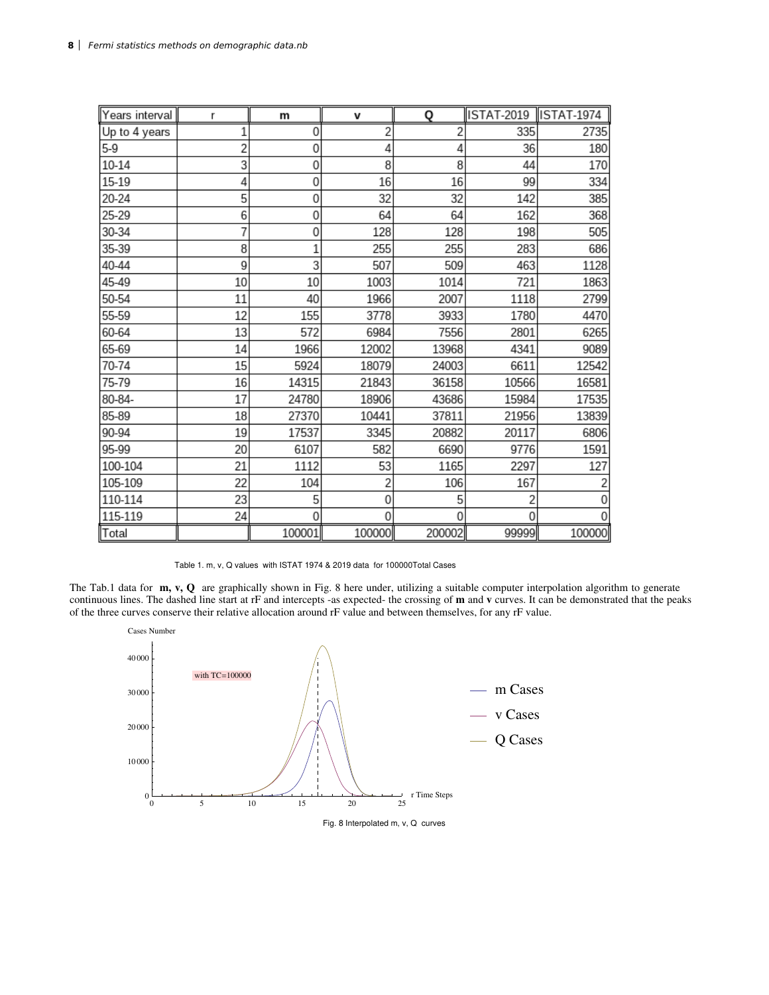| Years interval | r  | m      | V        | Q        | ISTAT-2019  ISTAT-1974 |        |
|----------------|----|--------|----------|----------|------------------------|--------|
| Up to 4 years  |    | 0      | 2        |          | 335                    | 2735   |
| $5-9$          | 2  | 0      | 4        | Δ        | 36                     | 180    |
| 10-14          | 3  | 0      | 8        | 8        | 44                     | 170    |
| 15-19          | 4  | 0      | 16       | 16       | 99                     | 334    |
| 20-24          | 5  | 0      | 32       | 32       | 142                    | 385    |
| 25-29          | 6  | 0      | 64       | 64       | 162                    | 368    |
| 30-34          | 7  | 0      | 128      | 128      | 198                    | 505    |
| 35-39          | 8  | 1      | 255      | 255      | 283                    | 686    |
| 40-44          | 9  | 3      | 507      | 509      | 463                    | 1128   |
| 45-49          | 10 | 10     | 1003     | 1014     | 721                    | 1863   |
| 50-54          | 11 | 40     | 1966     | 2007     | 1118                   | 2799   |
| 55-59          | 12 | 155    | 3778     | 3933     | 1780                   | 4470   |
| 60-64          | 13 | 572    | 6984     | 7556     | 2801                   | 6265   |
| 65-69          | 14 | 1966   | 12002    | 13968    | 4341                   | 9089   |
| 70-74          | 15 | 5924   | 18079    | 24003    | 6611                   | 12542  |
| 75-79          | 16 | 14315  | 21843    | 36158    | 10566                  | 16581  |
| 80-84-         | 17 | 24780  | 18906    | 43686    | 15984                  | 17535  |
| 85-89          | 18 | 27370  | 10441    | 37811    | 21956                  | 13839  |
| 90-94          | 19 | 17537  | 3345     | 20882    | 20117                  | 6806   |
| 95-99          | 20 | 6107   | 582      | 6690     | 9776                   | 1591   |
| 100-104        | 21 | 1112   | 53       | 1165     | 2297                   | 127    |
| 105-109        | 22 | 104    | 2        | 106      | 167                    |        |
| 110-114        | 23 | 5      | 0        | 5        |                        | 0      |
| 115-119        | 24 | 0      | $\Omega$ | $\Omega$ | 0                      | 0      |
| Total          |    | 100001 | 100000   | 200002   | 99999                  | 100000 |

Table 1. m, v, Q values with ISTAT 1974 & 2019 data for 100000Total Cases

The Tab.1 data for **m, v, Q** are graphically shown in Fig. 8 here under, utilizing a suitable computer interpolation algorithm to generate continuous lines. The dashed line start at rF and intercepts -as expected- the crossing of **m** and **v** curves. It can be demonstrated that the peaks of the three curves conserve their relative allocation around rF value and between themselves, for any rF value.



Fig. 8 Interpolated m, v, Q curves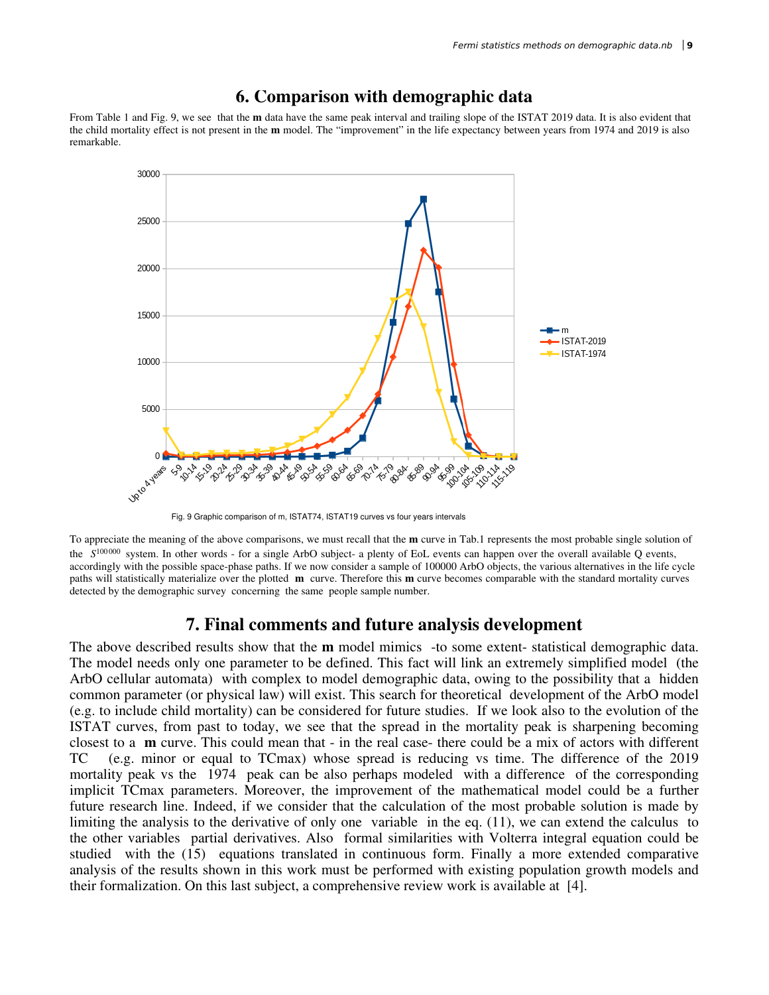

## **6. Comparison with demographic data**

From Table 1 and Fig. 9, we see that the **m** data have the same peak interval and trailing slope of the ISTAT 2019 data. It is also evident that the child mortality effect is not present in the **m** model. The "improvement" in the life expectancy between years from 1974 and 2019 is also remarkable.

Fig. 9 Graphic comparison of m, ISTAT74, ISTAT19 curves vs four years intervals

To appreciate the meaning of the above comparisons, we must recall that the **m** curve in Tab.1 represents the most probable single solution of the  $S^{100000}$  system. In other words - for a single ArbO subject- a plenty of EoL events can happen over the overall available Q events, accordingly with the possible space-phase paths. If we now consider a sample of 100000 ArbO objects, the various alternatives in the life cycle paths will statistically materialize over the plotted **m** curve. Therefore this **m** curve becomes comparable with the standard mortality curves detected by the demographic survey concerning the same people sample number.

### **7. Final comments and future analysis development**

The above described results show that the **m** model mimics -to some extent- statistical demographic data. The model needs only one parameter to be defined. This fact will link an extremely simplified model (the ArbO cellular automata) with complex to model demographic data, owing to the possibility that a hidden common parameter (or physical law) will exist. This search for theoretical development of the ArbO model (e.g. to include child mortality) can be considered for future studies. If we look also to the evolution of the ISTAT curves, from past to today, we see that the spread in the mortality peak is sharpening becoming closest to a **m** curve. This could mean that - in the real case- there could be a mix of actors with different TC (e.g. minor or equal to TCmax) whose spread is reducing vs time. The difference of the 2019 mortality peak vs the 1974 peak can be also perhaps modeled with a difference of the corresponding implicit TCmax parameters. Moreover, the improvement of the mathematical model could be a further future research line. Indeed, if we consider that the calculation of the most probable solution is made by limiting the analysis to the derivative of only one variable in the eq. (11), we can extend the calculus to the other variables partial derivatives. Also formal similarities with Volterra integral equation could be studied with the (15) equations translated in continuous form. Finally a more extended comparative analysis of the results shown in this work must be performed with existing population growth models and their formalization. On this last subject, a comprehensive review work is available at [4].